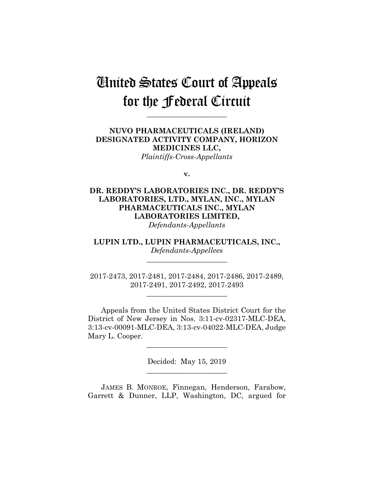# United States Court of Appeals for the Federal Circuit

**\_\_\_\_\_\_\_\_\_\_\_\_\_\_\_\_\_\_\_\_\_\_**

**NUVO PHARMACEUTICALS (IRELAND) DESIGNATED ACTIVITY COMPANY, HORIZON MEDICINES LLC,** *Plaintiffs-Cross-Appellants*

**v.**

**DR. REDDY'S LABORATORIES INC., DR. REDDY'S LABORATORIES, LTD., MYLAN, INC., MYLAN PHARMACEUTICALS INC., MYLAN LABORATORIES LIMITED,** *Defendants-Appellants*

**LUPIN LTD., LUPIN PHARMACEUTICALS, INC.,** *Defendants-Appellees*

**\_\_\_\_\_\_\_\_\_\_\_\_\_\_\_\_\_\_\_\_\_\_**

2017-2473, 2017-2481, 2017-2484, 2017-2486, 2017-2489, 2017-2491, 2017-2492, 2017-2493

**\_\_\_\_\_\_\_\_\_\_\_\_\_\_\_\_\_\_\_\_\_\_**

Appeals from the United States District Court for the District of New Jersey in Nos. 3:11-cv-02317-MLC-DEA, 3:13-cv-00091-MLC-DEA, 3:13-cv-04022-MLC-DEA, Judge Mary L. Cooper.

> Decided: May 15, 2019 **\_\_\_\_\_\_\_\_\_\_\_\_\_\_\_\_\_\_\_\_\_\_**

> **\_\_\_\_\_\_\_\_\_\_\_\_\_\_\_\_\_\_\_\_\_\_**

JAMES B. MONROE, Finnegan, Henderson, Farabow, Garrett & Dunner, LLP, Washington, DC, argued for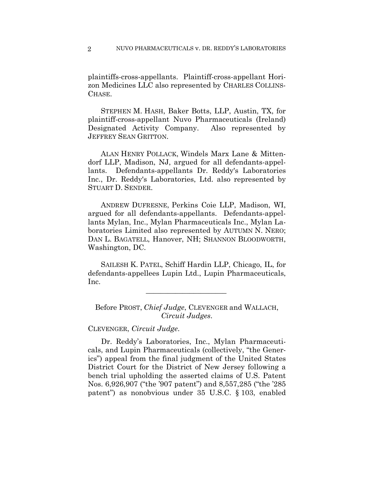plaintiffs-cross-appellants. Plaintiff-cross-appellant Horizon Medicines LLC also represented by CHARLES COLLINS-CHASE.

 STEPHEN M. HASH, Baker Botts, LLP, Austin, TX, for plaintiff-cross-appellant Nuvo Pharmaceuticals (Ireland) Designated Activity Company. Also represented by JEFFREY SEAN GRITTON.

 ALAN HENRY POLLACK, Windels Marx Lane & Mittendorf LLP, Madison, NJ, argued for all defendants-appellants. Defendants-appellants Dr. Reddy's Laboratories Inc., Dr. Reddy's Laboratories, Ltd. also represented by STUART D. SENDER.

 ANDREW DUFRESNE, Perkins Coie LLP, Madison, WI, argued for all defendants-appellants. Defendants-appellants Mylan, Inc., Mylan Pharmaceuticals Inc., Mylan Laboratories Limited also represented by AUTUMN N. NERO; DAN L. BAGATELL, Hanover, NH; SHANNON BLOODWORTH, Washington, DC.

 SAILESH K. PATEL, Schiff Hardin LLP, Chicago, IL, for defendants-appellees Lupin Ltd., Lupin Pharmaceuticals, Inc.

 $\mathcal{L}_\text{max}$  and  $\mathcal{L}_\text{max}$  and  $\mathcal{L}_\text{max}$  and  $\mathcal{L}_\text{max}$ 

Before PROST, *Chief Judge*, CLEVENGER and WALLACH, *Circuit Judges*.

## CLEVENGER, *Circuit Judge*.

Dr. Reddy's Laboratories, Inc., Mylan Pharmaceuticals, and Lupin Pharmaceuticals (collectively, "the Generics") appeal from the final judgment of the United States District Court for the District of New Jersey following a bench trial upholding the asserted claims of U.S. Patent Nos. 6,926,907 ("the '907 patent") and 8,557,285 ("the '285 patent") as nonobvious under 35 U.S.C. § 103, enabled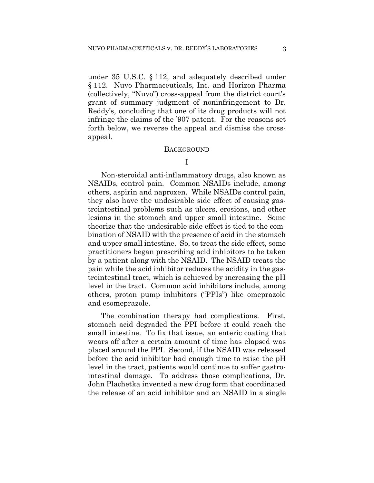under 35 U.S.C. § 112, and adequately described under § 112. Nuvo Pharmaceuticals, Inc. and Horizon Pharma (collectively, "Nuvo") cross-appeal from the district court's grant of summary judgment of noninfringement to Dr. Reddy's, concluding that one of its drug products will not infringe the claims of the '907 patent. For the reasons set forth below, we reverse the appeal and dismiss the crossappeal.

#### **BACKGROUND**

I

Non-steroidal anti-inflammatory drugs, also known as NSAIDs, control pain. Common NSAIDs include, among others, aspirin and naproxen. While NSAIDs control pain, they also have the undesirable side effect of causing gastrointestinal problems such as ulcers, erosions, and other lesions in the stomach and upper small intestine. Some theorize that the undesirable side effect is tied to the combination of NSAID with the presence of acid in the stomach and upper small intestine. So, to treat the side effect, some practitioners began prescribing acid inhibitors to be taken by a patient along with the NSAID. The NSAID treats the pain while the acid inhibitor reduces the acidity in the gastrointestinal tract, which is achieved by increasing the pH level in the tract. Common acid inhibitors include, among others, proton pump inhibitors ("PPIs") like omeprazole and esomeprazole.

The combination therapy had complications. First, stomach acid degraded the PPI before it could reach the small intestine. To fix that issue, an enteric coating that wears off after a certain amount of time has elapsed was placed around the PPI. Second, if the NSAID was released before the acid inhibitor had enough time to raise the pH level in the tract, patients would continue to suffer gastrointestinal damage. To address those complications, Dr. John Plachetka invented a new drug form that coordinated the release of an acid inhibitor and an NSAID in a single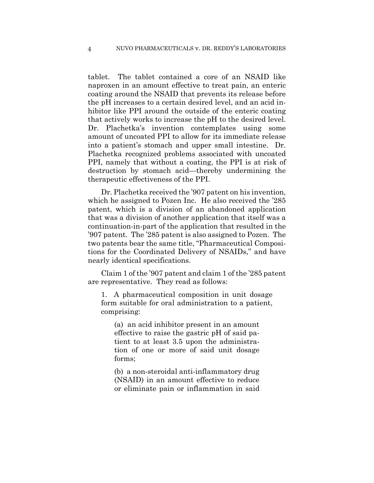tablet. The tablet contained a core of an NSAID like naproxen in an amount effective to treat pain, an enteric coating around the NSAID that prevents its release before the pH increases to a certain desired level, and an acid inhibitor like PPI around the outside of the enteric coating that actively works to increase the pH to the desired level. Dr. Plachetka's invention contemplates using some amount of uncoated PPI to allow for its immediate release into a patient's stomach and upper small intestine. Dr. Plachetka recognized problems associated with uncoated PPI, namely that without a coating, the PPI is at risk of destruction by stomach acid—thereby undermining the therapeutic effectiveness of the PPI.

Dr. Plachetka received the '907 patent on his invention, which he assigned to Pozen Inc. He also received the '285 patent, which is a division of an abandoned application that was a division of another application that itself was a continuation-in-part of the application that resulted in the '907 patent. The '285 patent is also assigned to Pozen. The two patents bear the same title, "Pharmaceutical Compositions for the Coordinated Delivery of NSAIDs," and have nearly identical specifications.

Claim 1 of the '907 patent and claim 1 of the '285 patent are representative. They read as follows:

1. A pharmaceutical composition in unit dosage form suitable for oral administration to a patient, comprising:

(a) an acid inhibitor present in an amount effective to raise the gastric pH of said patient to at least 3.5 upon the administration of one or more of said unit dosage forms;

(b) a non-steroidal anti-inflammatory drug (NSAID) in an amount effective to reduce or eliminate pain or inflammation in said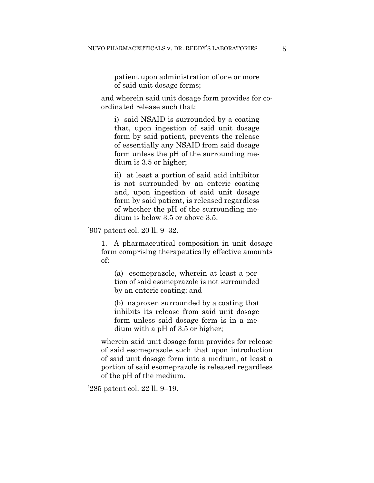patient upon administration of one or more of said unit dosage forms;

and wherein said unit dosage form provides for coordinated release such that:

i) said NSAID is surrounded by a coating that, upon ingestion of said unit dosage form by said patient, prevents the release of essentially any NSAID from said dosage form unless the pH of the surrounding medium is 3.5 or higher;

ii) at least a portion of said acid inhibitor is not surrounded by an enteric coating and, upon ingestion of said unit dosage form by said patient, is released regardless of whether the pH of the surrounding medium is below 3.5 or above 3.5.

'907 patent col. 20 ll. 9–32.

1. A pharmaceutical composition in unit dosage form comprising therapeutically effective amounts of:

(a) esomeprazole, wherein at least a portion of said esomeprazole is not surrounded by an enteric coating; and

(b) naproxen surrounded by a coating that inhibits its release from said unit dosage form unless said dosage form is in a medium with a pH of 3.5 or higher;

wherein said unit dosage form provides for release of said esomeprazole such that upon introduction of said unit dosage form into a medium, at least a portion of said esomeprazole is released regardless of the pH of the medium.

'285 patent col. 22 ll. 9–19.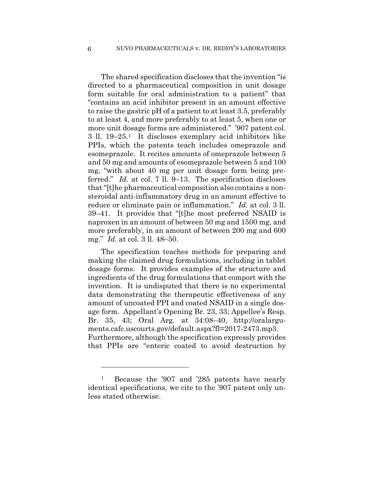The shared specification discloses that the invention "is directed to a pharmaceutical composition in unit dosage form suitable for oral administration to a patient" that "contains an acid inhibitor present in an amount effective to raise the gastric pH of a patient to at least 3.5, preferably to at least 4, and more preferably to at least 5, when one or more unit dosage forms are administered." '907 patent col. 3 ll. 19–25.1 It discloses exemplary acid inhibitors like PPIs, which the patents teach includes omeprazole and esomeprazole. It recites amounts of omeprazole between 5 and 50 mg and amounts of esomeprazole between 5 and 100 mg, "with about 40 mg per unit dosage form being preferred." *Id.* at col. 7 ll. 9–13. The specification discloses that "[t]he pharmaceutical composition also contains a nonsteroidal anti-inflammatory drug in an amount effective to reduce or eliminate pain or inflammation." *Id.* at col. 3 ll. 39–41. It provides that "[t]he most preferred NSAID is naproxen in an amount of between 50 mg and 1500 mg, and more preferably, in an amount of between 200 mg and 600 mg." *Id.* at col. 3 ll. 48–50.

The specification teaches methods for preparing and making the claimed drug formulations, including in tablet dosage forms. It provides examples of the structure and ingredients of the drug formulations that comport with the invention. It is undisputed that there is no experimental data demonstrating the therapeutic effectiveness of any amount of uncoated PPI and coated NSAID in a single dosage form. Appellant's Opening Br. 23, 33; Appellee's Resp. Br. 35, 43; Oral Arg. at 34:08–40, http://oralarguments.cafc.uscourts.gov/default.aspx?fl=2017-2473.mp3. Furthermore, although the specification expressly provides that PPIs are "enteric coated to avoid destruction by

1

<sup>1</sup> Because the '907 and '285 patents have nearly identical specifications, we cite to the '907 patent only unless stated otherwise.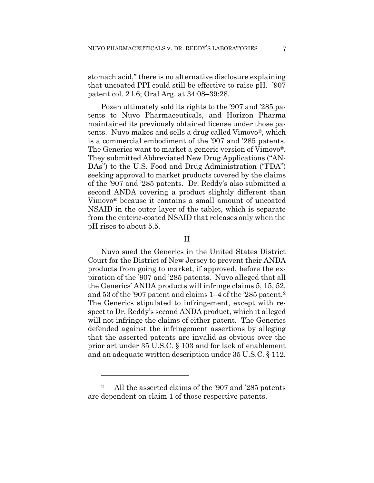stomach acid," there is no alternative disclosure explaining that uncoated PPI could still be effective to raise pH. '907 patent col. 2 l.6; Oral Arg. at 34:08–39:28.

Pozen ultimately sold its rights to the '907 and '285 patents to Nuvo Pharmaceuticals, and Horizon Pharma maintained its previously obtained license under those patents. Nuvo makes and sells a drug called Vimovo®, which is a commercial embodiment of the '907 and '285 patents. The Generics want to market a generic version of Vimovo®. They submitted Abbreviated New Drug Applications ("AN-DAs") to the U.S. Food and Drug Administration ("FDA") seeking approval to market products covered by the claims of the '907 and '285 patents. Dr. Reddy's also submitted a second ANDA covering a product slightly different than Vimovo® because it contains a small amount of uncoated NSAID in the outer layer of the tablet, which is separate from the enteric-coated NSAID that releases only when the pH rises to about 5.5.

## II

Nuvo sued the Generics in the United States District Court for the District of New Jersey to prevent their ANDA products from going to market, if approved, before the expiration of the '907 and '285 patents. Nuvo alleged that all the Generics' ANDA products will infringe claims 5, 15, 52, and 53 of the '907 patent and claims 1–4 of the '285 patent.2 The Generics stipulated to infringement, except with respect to Dr. Reddy's second ANDA product, which it alleged will not infringe the claims of either patent. The Generics defended against the infringement assertions by alleging that the asserted patents are invalid as obvious over the prior art under 35 U.S.C. § 103 and for lack of enablement and an adequate written description under 35 U.S.C. § 112.

1

<sup>2</sup> All the asserted claims of the '907 and '285 patents are dependent on claim 1 of those respective patents.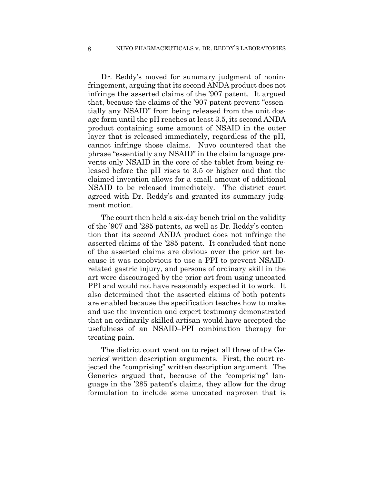Dr. Reddy's moved for summary judgment of noninfringement, arguing that its second ANDA product does not infringe the asserted claims of the '907 patent. It argued that, because the claims of the '907 patent prevent "essentially any NSAID" from being released from the unit dosage form until the pH reaches at least 3.5, its second ANDA product containing some amount of NSAID in the outer layer that is released immediately, regardless of the pH, cannot infringe those claims. Nuvo countered that the phrase "essentially any NSAID" in the claim language prevents only NSAID in the core of the tablet from being released before the pH rises to 3.5 or higher and that the claimed invention allows for a small amount of additional NSAID to be released immediately. The district court agreed with Dr. Reddy's and granted its summary judgment motion.

The court then held a six-day bench trial on the validity of the '907 and '285 patents, as well as Dr. Reddy's contention that its second ANDA product does not infringe the asserted claims of the '285 patent. It concluded that none of the asserted claims are obvious over the prior art because it was nonobvious to use a PPI to prevent NSAIDrelated gastric injury, and persons of ordinary skill in the art were discouraged by the prior art from using uncoated PPI and would not have reasonably expected it to work. It also determined that the asserted claims of both patents are enabled because the specification teaches how to make and use the invention and expert testimony demonstrated that an ordinarily skilled artisan would have accepted the usefulness of an NSAID–PPI combination therapy for treating pain.

The district court went on to reject all three of the Generics' written description arguments. First, the court rejected the "comprising" written description argument. The Generics argued that, because of the "comprising" language in the '285 patent's claims, they allow for the drug formulation to include some uncoated naproxen that is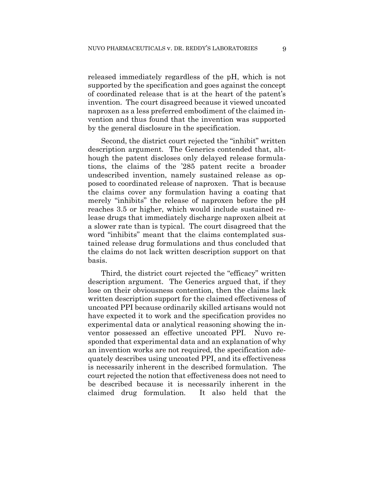released immediately regardless of the pH, which is not supported by the specification and goes against the concept of coordinated release that is at the heart of the patent's invention. The court disagreed because it viewed uncoated naproxen as a less preferred embodiment of the claimed invention and thus found that the invention was supported by the general disclosure in the specification.

Second, the district court rejected the "inhibit" written description argument. The Generics contended that, although the patent discloses only delayed release formulations, the claims of the '285 patent recite a broader undescribed invention, namely sustained release as opposed to coordinated release of naproxen. That is because the claims cover any formulation having a coating that merely "inhibits" the release of naproxen before the pH reaches 3.5 or higher, which would include sustained release drugs that immediately discharge naproxen albeit at a slower rate than is typical. The court disagreed that the word "inhibits" meant that the claims contemplated sustained release drug formulations and thus concluded that the claims do not lack written description support on that basis.

Third, the district court rejected the "efficacy" written description argument. The Generics argued that, if they lose on their obviousness contention, then the claims lack written description support for the claimed effectiveness of uncoated PPI because ordinarily skilled artisans would not have expected it to work and the specification provides no experimental data or analytical reasoning showing the inventor possessed an effective uncoated PPI. Nuvo responded that experimental data and an explanation of why an invention works are not required, the specification adequately describes using uncoated PPI, and its effectiveness is necessarily inherent in the described formulation. The court rejected the notion that effectiveness does not need to be described because it is necessarily inherent in the claimed drug formulation. It also held that the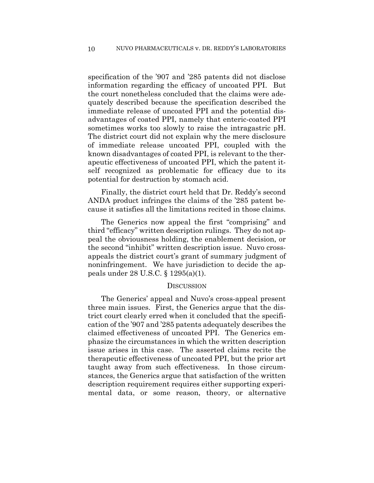specification of the '907 and '285 patents did not disclose information regarding the efficacy of uncoated PPI. But the court nonetheless concluded that the claims were adequately described because the specification described the immediate release of uncoated PPI and the potential disadvantages of coated PPI, namely that enteric-coated PPI sometimes works too slowly to raise the intragastric pH. The district court did not explain why the mere disclosure of immediate release uncoated PPI, coupled with the known disadvantages of coated PPI, is relevant to the therapeutic effectiveness of uncoated PPI, which the patent itself recognized as problematic for efficacy due to its potential for destruction by stomach acid.

Finally, the district court held that Dr. Reddy's second ANDA product infringes the claims of the '285 patent because it satisfies all the limitations recited in those claims.

The Generics now appeal the first "comprising" and third "efficacy" written description rulings. They do not appeal the obviousness holding, the enablement decision, or the second "inhibit" written description issue. Nuvo crossappeals the district court's grant of summary judgment of noninfringement. We have jurisdiction to decide the appeals under 28 U.S.C. § 1295(a)(1).

#### **DISCUSSION**

The Generics' appeal and Nuvo's cross-appeal present three main issues. First, the Generics argue that the district court clearly erred when it concluded that the specification of the '907 and '285 patents adequately describes the claimed effectiveness of uncoated PPI. The Generics emphasize the circumstances in which the written description issue arises in this case. The asserted claims recite the therapeutic effectiveness of uncoated PPI, but the prior art taught away from such effectiveness. In those circumstances, the Generics argue that satisfaction of the written description requirement requires either supporting experimental data, or some reason, theory, or alternative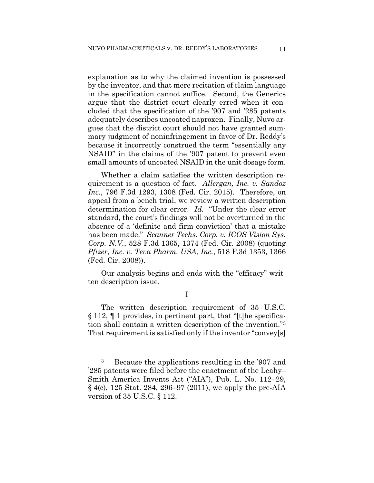explanation as to why the claimed invention is possessed by the inventor, and that mere recitation of claim language in the specification cannot suffice. Second, the Generics argue that the district court clearly erred when it concluded that the specification of the '907 and '285 patents adequately describes uncoated naproxen. Finally, Nuvo argues that the district court should not have granted summary judgment of noninfringement in favor of Dr. Reddy's because it incorrectly construed the term "essentially any NSAID" in the claims of the '907 patent to prevent even small amounts of uncoated NSAID in the unit dosage form.

Whether a claim satisfies the written description requirement is a question of fact. *Allergan, Inc. v. Sandoz Inc.*, 796 F.3d 1293, 1308 (Fed. Cir. 2015). Therefore, on appeal from a bench trial, we review a written description determination for clear error. *Id.* "Under the clear error standard, the court's findings will not be overturned in the absence of a 'definite and firm conviction' that a mistake has been made." *Scanner Techs. Corp. v. ICOS Vision Sys. Corp. N.V.*, 528 F.3d 1365, 1374 (Fed. Cir. 2008) (quoting *Pfizer, Inc. v. Teva Pharm. USA, Inc.*, 518 F.3d 1353, 1366 (Fed. Cir. 2008)).

Our analysis begins and ends with the "efficacy" written description issue.

I

The written description requirement of 35 U.S.C. § 112, ¶ 1 provides, in pertinent part, that "[t]he specification shall contain a written description of the invention."3 That requirement is satisfied only if the inventor "convey[s]

1

<sup>3</sup> Because the applications resulting in the '907 and '285 patents were filed before the enactment of the Leahy– Smith America Invents Act ("AIA"), Pub. L. No. 112–29, § 4(c), 125 Stat. 284, 296–97 (2011), we apply the pre-AIA version of 35 U.S.C. § 112.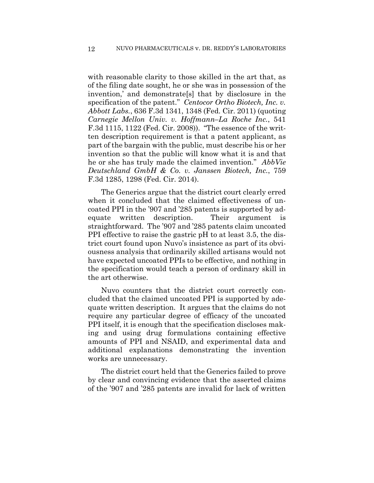with reasonable clarity to those skilled in the art that, as of the filing date sought, he or she was in possession of the invention,' and demonstrate[s] that by disclosure in the specification of the patent." *Centocor Ortho Biotech, Inc. v. Abbott Labs.*, 636 F.3d 1341, 1348 (Fed. Cir. 2011) (quoting *Carnegie Mellon Univ. v. Hoffmann–La Roche Inc.*, 541 F.3d 1115, 1122 (Fed. Cir. 2008)). "The essence of the written description requirement is that a patent applicant, as part of the bargain with the public, must describe his or her invention so that the public will know what it is and that he or she has truly made the claimed invention." *AbbVie Deutschland GmbH & Co. v. Janssen Biotech, Inc.*, 759 F.3d 1285, 1298 (Fed. Cir. 2014).

The Generics argue that the district court clearly erred when it concluded that the claimed effectiveness of uncoated PPI in the '907 and '285 patents is supported by adequate written description. Their argument is straightforward. The '907 and '285 patents claim uncoated PPI effective to raise the gastric pH to at least 3.5, the district court found upon Nuvo's insistence as part of its obviousness analysis that ordinarily skilled artisans would not have expected uncoated PPIs to be effective, and nothing in the specification would teach a person of ordinary skill in the art otherwise.

Nuvo counters that the district court correctly concluded that the claimed uncoated PPI is supported by adequate written description. It argues that the claims do not require any particular degree of efficacy of the uncoated PPI itself, it is enough that the specification discloses making and using drug formulations containing effective amounts of PPI and NSAID, and experimental data and additional explanations demonstrating the invention works are unnecessary.

The district court held that the Generics failed to prove by clear and convincing evidence that the asserted claims of the '907 and '285 patents are invalid for lack of written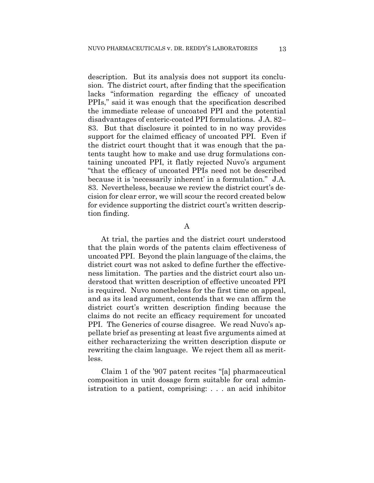description. But its analysis does not support its conclusion. The district court, after finding that the specification lacks "information regarding the efficacy of uncoated PPIs," said it was enough that the specification described the immediate release of uncoated PPI and the potential disadvantages of enteric-coated PPI formulations. J.A. 82– 83. But that disclosure it pointed to in no way provides support for the claimed efficacy of uncoated PPI. Even if the district court thought that it was enough that the patents taught how to make and use drug formulations containing uncoated PPI, it flatly rejected Nuvo's argument "that the efficacy of uncoated PPIs need not be described because it is 'necessarily inherent' in a formulation." J.A. 83. Nevertheless, because we review the district court's decision for clear error, we will scour the record created below for evidence supporting the district court's written description finding.

## A

At trial, the parties and the district court understood that the plain words of the patents claim effectiveness of uncoated PPI. Beyond the plain language of the claims, the district court was not asked to define further the effectiveness limitation. The parties and the district court also understood that written description of effective uncoated PPI is required. Nuvo nonetheless for the first time on appeal, and as its lead argument, contends that we can affirm the district court's written description finding because the claims do not recite an efficacy requirement for uncoated PPI. The Generics of course disagree. We read Nuvo's appellate brief as presenting at least five arguments aimed at either recharacterizing the written description dispute or rewriting the claim language. We reject them all as meritless.

Claim 1 of the '907 patent recites "[a] pharmaceutical composition in unit dosage form suitable for oral administration to a patient, comprising: . . . an acid inhibitor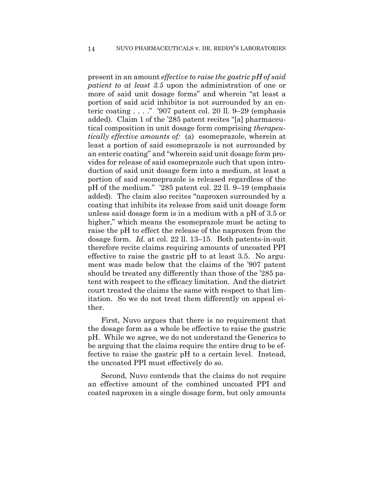present in an amount *effective to raise the gastric pH of said patient to at least 3.5* upon the administration of one or more of said unit dosage forms" and wherein "at least a portion of said acid inhibitor is not surrounded by an enteric coating . . . ." '907 patent col. 20 ll. 9–29 (emphasis added). Claim 1 of the '285 patent recites "[a] pharmaceutical composition in unit dosage form comprising *therapeutically effective amounts of:* (a) esomeprazole, wherein at least a portion of said esomeprazole is not surrounded by an enteric coating" and "wherein said unit dosage form provides for release of said esomeprazole such that upon introduction of said unit dosage form into a medium, at least a portion of said esomeprazole is released regardless of the pH of the medium." '285 patent col. 22 ll. 9–19 (emphasis added). The claim also recites "naproxen surrounded by a coating that inhibits its release from said unit dosage form unless said dosage form is in a medium with a pH of 3.5 or higher," which means the esomeprazole must be acting to raise the pH to effect the release of the naproxen from the dosage form. *Id.* at col. 22 ll. 13–15. Both patents-in-suit therefore recite claims requiring amounts of uncoated PPI effective to raise the gastric pH to at least 3.5. No argument was made below that the claims of the '907 patent should be treated any differently than those of the '285 patent with respect to the efficacy limitation. And the district court treated the claims the same with respect to that limitation. So we do not treat them differently on appeal either.

First, Nuvo argues that there is no requirement that the dosage form as a whole be effective to raise the gastric pH. While we agree, we do not understand the Generics to be arguing that the claims require the entire drug to be effective to raise the gastric pH to a certain level. Instead, the uncoated PPI must effectively do so.

Second, Nuvo contends that the claims do not require an effective amount of the combined uncoated PPI and coated naproxen in a single dosage form, but only amounts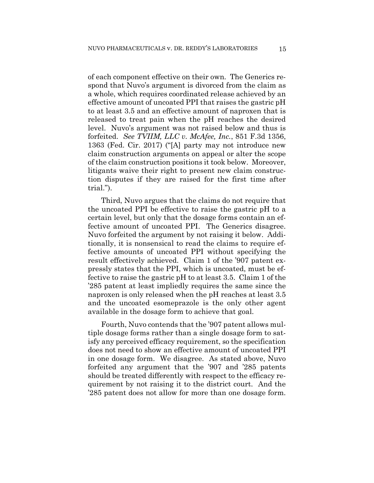of each component effective on their own. The Generics respond that Nuvo's argument is divorced from the claim as a whole, which requires coordinated release achieved by an effective amount of uncoated PPI that raises the gastric pH to at least 3.5 and an effective amount of naproxen that is released to treat pain when the pH reaches the desired level. Nuvo's argument was not raised below and thus is forfeited. *See TVIIM, LLC v. McAfee, Inc.*, 851 F.3d 1356, 1363 (Fed. Cir. 2017) ("[A] party may not introduce new claim construction arguments on appeal or alter the scope of the claim construction positions it took below. Moreover, litigants waive their right to present new claim construction disputes if they are raised for the first time after trial.").

Third, Nuvo argues that the claims do not require that the uncoated PPI be effective to raise the gastric pH to a certain level, but only that the dosage forms contain an effective amount of uncoated PPI. The Generics disagree. Nuvo forfeited the argument by not raising it below. Additionally, it is nonsensical to read the claims to require effective amounts of uncoated PPI without specifying the result effectively achieved. Claim 1 of the '907 patent expressly states that the PPI, which is uncoated, must be effective to raise the gastric pH to at least 3.5. Claim 1 of the '285 patent at least impliedly requires the same since the naproxen is only released when the pH reaches at least 3.5 and the uncoated esomeprazole is the only other agent available in the dosage form to achieve that goal.

Fourth, Nuvo contends that the '907 patent allows multiple dosage forms rather than a single dosage form to satisfy any perceived efficacy requirement, so the specification does not need to show an effective amount of uncoated PPI in one dosage form. We disagree. As stated above, Nuvo forfeited any argument that the '907 and '285 patents should be treated differently with respect to the efficacy requirement by not raising it to the district court. And the '285 patent does not allow for more than one dosage form.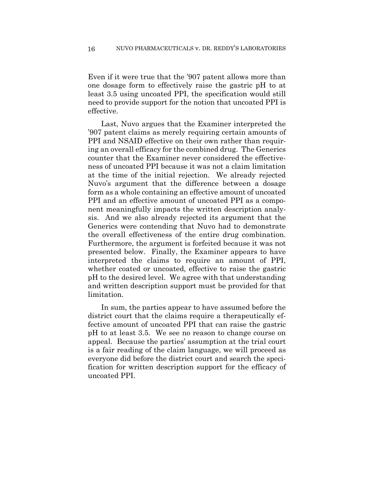Even if it were true that the '907 patent allows more than one dosage form to effectively raise the gastric pH to at least 3.5 using uncoated PPI, the specification would still need to provide support for the notion that uncoated PPI is effective.

Last, Nuvo argues that the Examiner interpreted the '907 patent claims as merely requiring certain amounts of PPI and NSAID effective on their own rather than requiring an overall efficacy for the combined drug. The Generics counter that the Examiner never considered the effectiveness of uncoated PPI because it was not a claim limitation at the time of the initial rejection. We already rejected Nuvo's argument that the difference between a dosage form as a whole containing an effective amount of uncoated PPI and an effective amount of uncoated PPI as a component meaningfully impacts the written description analysis. And we also already rejected its argument that the Generics were contending that Nuvo had to demonstrate the overall effectiveness of the entire drug combination. Furthermore, the argument is forfeited because it was not presented below. Finally, the Examiner appears to have interpreted the claims to require an amount of PPI, whether coated or uncoated, effective to raise the gastric pH to the desired level. We agree with that understanding and written description support must be provided for that limitation.

In sum, the parties appear to have assumed before the district court that the claims require a therapeutically effective amount of uncoated PPI that can raise the gastric pH to at least 3.5. We see no reason to change course on appeal. Because the parties' assumption at the trial court is a fair reading of the claim language, we will proceed as everyone did before the district court and search the specification for written description support for the efficacy of uncoated PPI.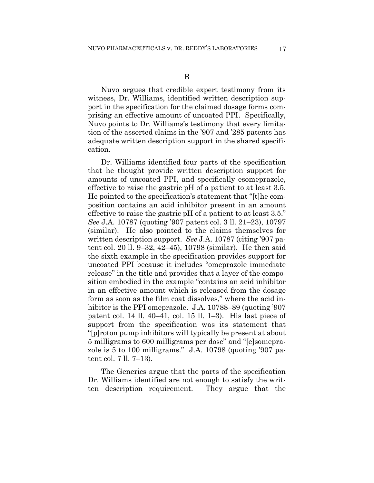Nuvo argues that credible expert testimony from its witness, Dr. Williams, identified written description support in the specification for the claimed dosage forms comprising an effective amount of uncoated PPI. Specifically, Nuvo points to Dr. Williams's testimony that every limitation of the asserted claims in the '907 and '285 patents has adequate written description support in the shared specification.

Dr. Williams identified four parts of the specification that he thought provide written description support for amounts of uncoated PPI, and specifically esomeprazole, effective to raise the gastric pH of a patient to at least 3.5. He pointed to the specification's statement that "[t]he composition contains an acid inhibitor present in an amount effective to raise the gastric pH of a patient to at least 3.5." *See* J.A. 10787 (quoting '907 patent col. 3 ll. 21–23), 10797 (similar). He also pointed to the claims themselves for written description support. *See* J.A. 10787 (citing '907 patent col. 20 ll. 9–32, 42–45), 10798 (similar). He then said the sixth example in the specification provides support for uncoated PPI because it includes "omeprazole immediate release" in the title and provides that a layer of the composition embodied in the example "contains an acid inhibitor in an effective amount which is released from the dosage form as soon as the film coat dissolves," where the acid inhibitor is the PPI omeprazole. J.A. 10788–89 (quoting '907) patent col. 14 ll. 40–41, col. 15 ll. 1–3). His last piece of support from the specification was its statement that "[p]roton pump inhibitors will typically be present at about 5 milligrams to 600 milligrams per dose" and "[e]someprazole is 5 to 100 milligrams." J.A. 10798 (quoting '907 patent col. 7 ll. 7–13).

The Generics argue that the parts of the specification Dr. Williams identified are not enough to satisfy the written description requirement. They argue that the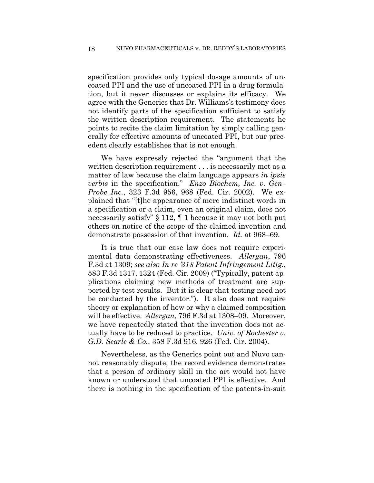specification provides only typical dosage amounts of uncoated PPI and the use of uncoated PPI in a drug formulation, but it never discusses or explains its efficacy. We agree with the Generics that Dr. Williams's testimony does not identify parts of the specification sufficient to satisfy the written description requirement. The statements he points to recite the claim limitation by simply calling generally for effective amounts of uncoated PPI, but our precedent clearly establishes that is not enough.

We have expressly rejected the "argument that the written description requirement . . . is necessarily met as a matter of law because the claim language appears *in ipsis verbis* in the specification." *Enzo Biochem, Inc. v. Gen– Probe Inc.*, 323 F.3d 956, 968 (Fed. Cir. 2002). We explained that "[t]he appearance of mere indistinct words in a specification or a claim, even an original claim, does not necessarily satisfy" § 112, ¶ 1 because it may not both put others on notice of the scope of the claimed invention and demonstrate possession of that invention. *Id.* at 968–69.

It is true that our case law does not require experimental data demonstrating effectiveness. *Allergan*, 796 F.3d at 1309; *see also In re '318 Patent Infringement Litig.*, 583 F.3d 1317, 1324 (Fed. Cir. 2009) ("Typically, patent applications claiming new methods of treatment are supported by test results. But it is clear that testing need not be conducted by the inventor."). It also does not require theory or explanation of how or why a claimed composition will be effective. *Allergan*, 796 F.3d at 1308–09. Moreover, we have repeatedly stated that the invention does not actually have to be reduced to practice. *Univ. of Rochester v. G.D. Searle & Co.*, 358 F.3d 916, 926 (Fed. Cir. 2004).

Nevertheless, as the Generics point out and Nuvo cannot reasonably dispute, the record evidence demonstrates that a person of ordinary skill in the art would not have known or understood that uncoated PPI is effective. And there is nothing in the specification of the patents-in-suit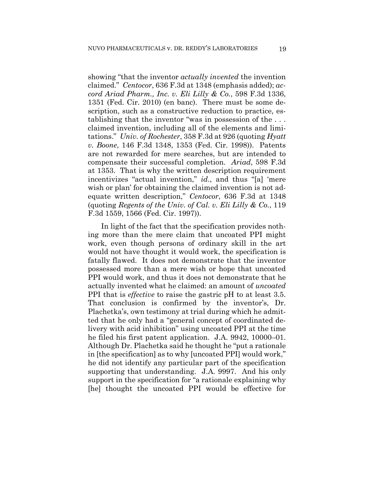showing "that the inventor *actually invented* the invention claimed." *Centocor*, 636 F.3d at 1348 (emphasis added); *accord Ariad Pharm., Inc. v. Eli Lilly & Co.*, 598 F.3d 1336, 1351 (Fed. Cir. 2010) (en banc). There must be some description, such as a constructive reduction to practice, establishing that the inventor "was in possession of the . . . claimed invention, including all of the elements and limitations." *Univ. of Rochester*, 358 F.3d at 926 (quoting *Hyatt v. Boone*, 146 F.3d 1348, 1353 (Fed. Cir. 1998)). Patents are not rewarded for mere searches, but are intended to compensate their successful completion. *Ariad*, 598 F.3d at 1353. That is why the written description requirement incentivizes "actual invention," *id.*, and thus "[a] 'mere wish or plan' for obtaining the claimed invention is not adequate written description," *Centocor*, 636 F.3d at 1348 (quoting *Regents of the Univ. of Cal. v. Eli Lilly & Co.*, 119 F.3d 1559, 1566 (Fed. Cir. 1997)).

In light of the fact that the specification provides nothing more than the mere claim that uncoated PPI might work, even though persons of ordinary skill in the art would not have thought it would work, the specification is fatally flawed. It does not demonstrate that the inventor possessed more than a mere wish or hope that uncoated PPI would work, and thus it does not demonstrate that he actually invented what he claimed: an amount of *uncoated* PPI that is *effective* to raise the gastric pH to at least 3.5. That conclusion is confirmed by the inventor's, Dr. Plachetka's, own testimony at trial during which he admitted that he only had a "general concept of coordinated delivery with acid inhibition" using uncoated PPI at the time he filed his first patent application. J.A. 9942, 10000–01. Although Dr. Plachetka said he thought he "put a rationale in [the specification] as to why [uncoated PPI] would work," he did not identify any particular part of the specification supporting that understanding. J.A. 9997. And his only support in the specification for "a rationale explaining why [he] thought the uncoated PPI would be effective for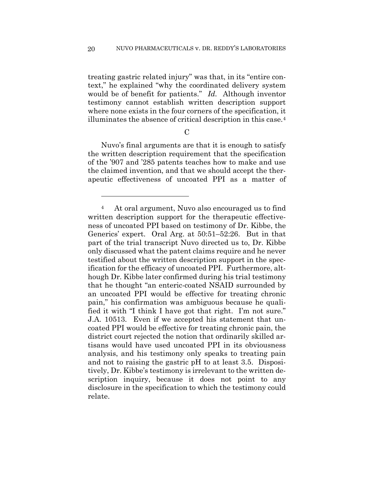treating gastric related injury" was that, in its "entire context," he explained "why the coordinated delivery system would be of benefit for patients." *Id.* Although inventor testimony cannot establish written description support where none exists in the four corners of the specification, it illuminates the absence of critical description in this case.4

 $\mathcal{C}$ 

Nuvo's final arguments are that it is enough to satisfy the written description requirement that the specification of the '907 and '285 patents teaches how to make and use the claimed invention, and that we should accept the therapeutic effectiveness of uncoated PPI as a matter of

1

<sup>4</sup> At oral argument, Nuvo also encouraged us to find written description support for the therapeutic effectiveness of uncoated PPI based on testimony of Dr. Kibbe, the Generics' expert. Oral Arg. at 50:51–52:26. But in that part of the trial transcript Nuvo directed us to, Dr. Kibbe only discussed what the patent claims require and he never testified about the written description support in the specification for the efficacy of uncoated PPI. Furthermore, although Dr. Kibbe later confirmed during his trial testimony that he thought "an enteric-coated NSAID surrounded by an uncoated PPI would be effective for treating chronic pain," his confirmation was ambiguous because he qualified it with "I think I have got that right. I'm not sure." J.A. 10513. Even if we accepted his statement that uncoated PPI would be effective for treating chronic pain, the district court rejected the notion that ordinarily skilled artisans would have used uncoated PPI in its obviousness analysis, and his testimony only speaks to treating pain and not to raising the gastric pH to at least 3.5. Dispositively, Dr. Kibbe's testimony is irrelevant to the written description inquiry, because it does not point to any disclosure in the specification to which the testimony could relate.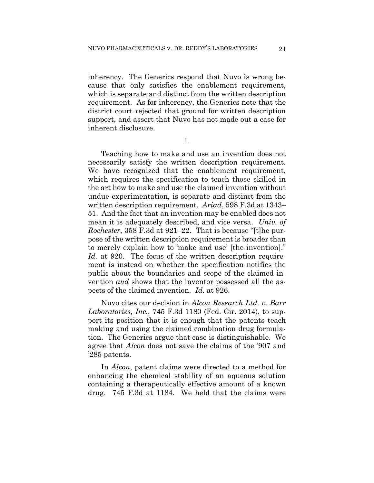inherency. The Generics respond that Nuvo is wrong because that only satisfies the enablement requirement, which is separate and distinct from the written description requirement. As for inherency, the Generics note that the district court rejected that ground for written description support, and assert that Nuvo has not made out a case for inherent disclosure.

1.

Teaching how to make and use an invention does not necessarily satisfy the written description requirement. We have recognized that the enablement requirement, which requires the specification to teach those skilled in the art how to make and use the claimed invention without undue experimentation, is separate and distinct from the written description requirement. *Ariad*, 598 F.3d at 1343– 51. And the fact that an invention may be enabled does not mean it is adequately described, and vice versa. *Univ. of Rochester*, 358 F.3d at 921–22. That is because "[t]he purpose of the written description requirement is broader than to merely explain how to 'make and use' [the invention]." *Id.* at 920. The focus of the written description requirement is instead on whether the specification notifies the public about the boundaries and scope of the claimed invention *and* shows that the inventor possessed all the aspects of the claimed invention. *Id.* at 926.

Nuvo cites our decision in *Alcon Research Ltd. v. Barr Laboratories, Inc.*, 745 F.3d 1180 (Fed. Cir. 2014), to support its position that it is enough that the patents teach making and using the claimed combination drug formulation. The Generics argue that case is distinguishable. We agree that *Alcon* does not save the claims of the '907 and '285 patents.

In *Alcon*, patent claims were directed to a method for enhancing the chemical stability of an aqueous solution containing a therapeutically effective amount of a known drug. 745 F.3d at 1184. We held that the claims were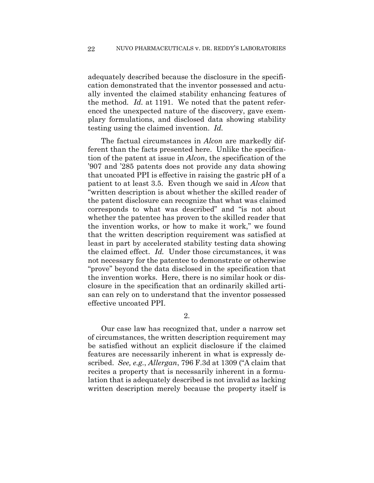adequately described because the disclosure in the specification demonstrated that the inventor possessed and actually invented the claimed stability enhancing features of the method. *Id.* at 1191. We noted that the patent referenced the unexpected nature of the discovery, gave exemplary formulations, and disclosed data showing stability testing using the claimed invention. *Id.*

The factual circumstances in *Alcon* are markedly different than the facts presented here. Unlike the specification of the patent at issue in *Alcon*, the specification of the '907 and '285 patents does not provide any data showing that uncoated PPI is effective in raising the gastric pH of a patient to at least 3.5. Even though we said in *Alcon* that "written description is about whether the skilled reader of the patent disclosure can recognize that what was claimed corresponds to what was described" and "is not about whether the patentee has proven to the skilled reader that the invention works, or how to make it work," we found that the written description requirement was satisfied at least in part by accelerated stability testing data showing the claimed effect. *Id.* Under those circumstances, it was not necessary for the patentee to demonstrate or otherwise "prove" beyond the data disclosed in the specification that the invention works. Here, there is no similar hook or disclosure in the specification that an ordinarily skilled artisan can rely on to understand that the inventor possessed effective uncoated PPI.

2.

Our case law has recognized that, under a narrow set of circumstances, the written description requirement may be satisfied without an explicit disclosure if the claimed features are necessarily inherent in what is expressly described. *See, e.g.*, *Allergan*, 796 F.3d at 1309 ("A claim that recites a property that is necessarily inherent in a formulation that is adequately described is not invalid as lacking written description merely because the property itself is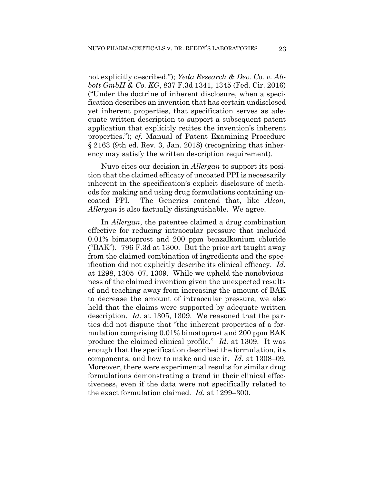not explicitly described."); *Yeda Research & Dev. Co. v. Abbott GmbH & Co. KG*, 837 F.3d 1341, 1345 (Fed. Cir. 2016) ("Under the doctrine of inherent disclosure, when a specification describes an invention that has certain undisclosed yet inherent properties, that specification serves as adequate written description to support a subsequent patent application that explicitly recites the invention's inherent properties."); *cf.* Manual of Patent Examining Procedure § 2163 (9th ed. Rev. 3, Jan. 2018) (recognizing that inherency may satisfy the written description requirement).

Nuvo cites our decision in *Allergan* to support its position that the claimed efficacy of uncoated PPI is necessarily inherent in the specification's explicit disclosure of methods for making and using drug formulations containing uncoated PPI. The Generics contend that, like *Alcon*, *Allergan* is also factually distinguishable. We agree.

In *Allergan*, the patentee claimed a drug combination effective for reducing intraocular pressure that included 0.01% bimatoprost and 200 ppm benzalkonium chloride ("BAK"). 796 F.3d at 1300. But the prior art taught away from the claimed combination of ingredients and the specification did not explicitly describe its clinical efficacy. *Id.* at 1298, 1305–07, 1309. While we upheld the nonobviousness of the claimed invention given the unexpected results of and teaching away from increasing the amount of BAK to decrease the amount of intraocular pressure, we also held that the claims were supported by adequate written description. *Id.* at 1305, 1309. We reasoned that the parties did not dispute that "the inherent properties of a formulation comprising 0.01% bimatoprost and 200 ppm BAK produce the claimed clinical profile." *Id.* at 1309. It was enough that the specification described the formulation, its components, and how to make and use it. *Id.* at 1308–09. Moreover, there were experimental results for similar drug formulations demonstrating a trend in their clinical effectiveness, even if the data were not specifically related to the exact formulation claimed. *Id.* at 1299–300.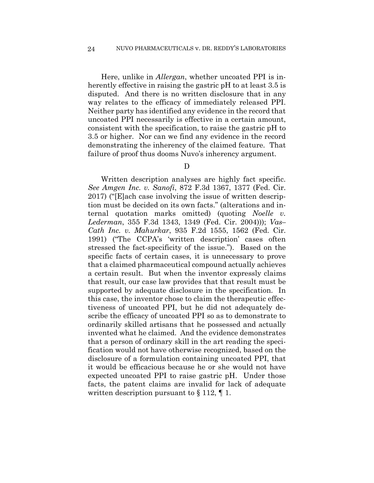Here, unlike in *Allergan*, whether uncoated PPI is inherently effective in raising the gastric pH to at least 3.5 is disputed. And there is no written disclosure that in any way relates to the efficacy of immediately released PPI. Neither party has identified any evidence in the record that uncoated PPI necessarily is effective in a certain amount, consistent with the specification, to raise the gastric pH to 3.5 or higher. Nor can we find any evidence in the record demonstrating the inherency of the claimed feature. That failure of proof thus dooms Nuvo's inherency argument.

### D

Written description analyses are highly fact specific. *See Amgen Inc. v. Sanofi*, 872 F.3d 1367, 1377 (Fed. Cir. 2017) ("[E]ach case involving the issue of written description must be decided on its own facts." (alterations and internal quotation marks omitted) (quoting *Noelle v. Lederman*, 355 F.3d 1343, 1349 (Fed. Cir. 2004))); *Vas– Cath Inc. v. Mahurkar*, 935 F.2d 1555, 1562 (Fed. Cir. 1991) ("The CCPA's 'written description' cases often stressed the fact-specificity of the issue."). Based on the specific facts of certain cases, it is unnecessary to prove that a claimed pharmaceutical compound actually achieves a certain result. But when the inventor expressly claims that result, our case law provides that that result must be supported by adequate disclosure in the specification. In this case, the inventor chose to claim the therapeutic effectiveness of uncoated PPI, but he did not adequately describe the efficacy of uncoated PPI so as to demonstrate to ordinarily skilled artisans that he possessed and actually invented what he claimed. And the evidence demonstrates that a person of ordinary skill in the art reading the specification would not have otherwise recognized, based on the disclosure of a formulation containing uncoated PPI, that it would be efficacious because he or she would not have expected uncoated PPI to raise gastric pH. Under those facts, the patent claims are invalid for lack of adequate written description pursuant to § 112, ¶ 1.